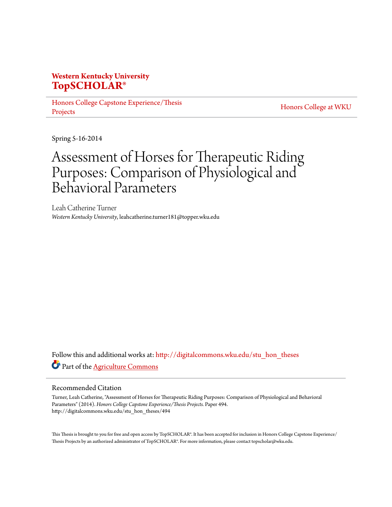# **Western Kentucky University [TopSCHOLAR®](http://digitalcommons.wku.edu?utm_source=digitalcommons.wku.edu%2Fstu_hon_theses%2F494&utm_medium=PDF&utm_campaign=PDFCoverPages)**

[Honors College Capstone Experience/Thesis](http://digitalcommons.wku.edu/stu_hon_theses?utm_source=digitalcommons.wku.edu%2Fstu_hon_theses%2F494&utm_medium=PDF&utm_campaign=PDFCoverPages) [Projects](http://digitalcommons.wku.edu/stu_hon_theses?utm_source=digitalcommons.wku.edu%2Fstu_hon_theses%2F494&utm_medium=PDF&utm_campaign=PDFCoverPages)

[Honors College at WKU](http://digitalcommons.wku.edu/honors_prog?utm_source=digitalcommons.wku.edu%2Fstu_hon_theses%2F494&utm_medium=PDF&utm_campaign=PDFCoverPages)

Spring 5-16-2014

# Assessment of Horses for Therapeutic Riding Purposes: Comparison of Physiological and Behavioral Parameters

Leah Catherine Turner *Western Kentucky University*, leahcatherine.turner181@topper.wku.edu

Follow this and additional works at: [http://digitalcommons.wku.edu/stu\\_hon\\_theses](http://digitalcommons.wku.edu/stu_hon_theses?utm_source=digitalcommons.wku.edu%2Fstu_hon_theses%2F494&utm_medium=PDF&utm_campaign=PDFCoverPages) Part of the [Agriculture Commons](http://network.bepress.com/hgg/discipline/1076?utm_source=digitalcommons.wku.edu%2Fstu_hon_theses%2F494&utm_medium=PDF&utm_campaign=PDFCoverPages)

#### Recommended Citation

Turner, Leah Catherine, "Assessment of Horses for Therapeutic Riding Purposes: Comparison of Physiological and Behavioral Parameters" (2014). *Honors College Capstone Experience/Thesis Projects.* Paper 494. http://digitalcommons.wku.edu/stu\_hon\_theses/494

This Thesis is brought to you for free and open access by TopSCHOLAR®. It has been accepted for inclusion in Honors College Capstone Experience/ Thesis Projects by an authorized administrator of TopSCHOLAR®. For more information, please contact topscholar@wku.edu.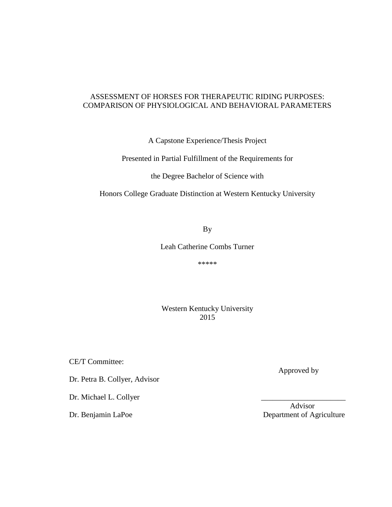# ASSESSMENT OF HORSES FOR THERAPEUTIC RIDING PURPOSES: COMPARISON OF PHYSIOLOGICAL AND BEHAVIORAL PARAMETERS

A Capstone Experience/Thesis Project

Presented in Partial Fulfillment of the Requirements for

the Degree Bachelor of Science with

Honors College Graduate Distinction at Western Kentucky University

By

Leah Catherine Combs Turner

\*\*\*\*\*

Western Kentucky University 2015

CE/T Committee:

Dr. Petra B. Collyer, Advisor

Dr. Michael L. Collyer

Approved by

 Advisor Dr. Benjamin LaPoe Department of Agriculture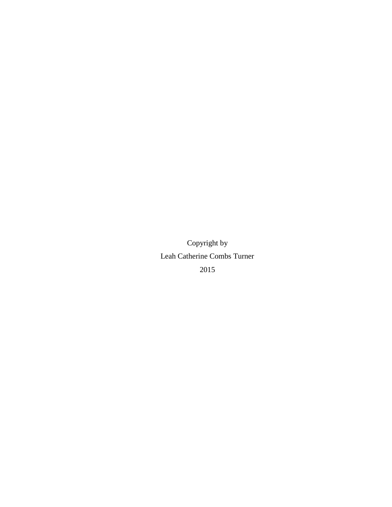Copyright by Leah Catherine Combs Turner 2015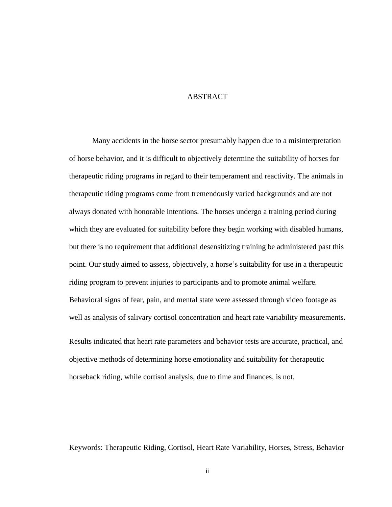# **ABSTRACT**

Many accidents in the horse sector presumably happen due to a misinterpretation of horse behavior, and it is difficult to objectively determine the suitability of horses for therapeutic riding programs in regard to their temperament and reactivity. The animals in therapeutic riding programs come from tremendously varied backgrounds and are not always donated with honorable intentions. The horses undergo a training period during which they are evaluated for suitability before they begin working with disabled humans, but there is no requirement that additional desensitizing training be administered past this point. Our study aimed to assess, objectively, a horse's suitability for use in a therapeutic riding program to prevent injuries to participants and to promote animal welfare. Behavioral signs of fear, pain, and mental state were assessed through video footage as well as analysis of salivary cortisol concentration and heart rate variability measurements.

Results indicated that heart rate parameters and behavior tests are accurate, practical, and objective methods of determining horse emotionality and suitability for therapeutic horseback riding, while cortisol analysis, due to time and finances, is not.

Keywords: Therapeutic Riding, Cortisol, Heart Rate Variability, Horses, Stress, Behavior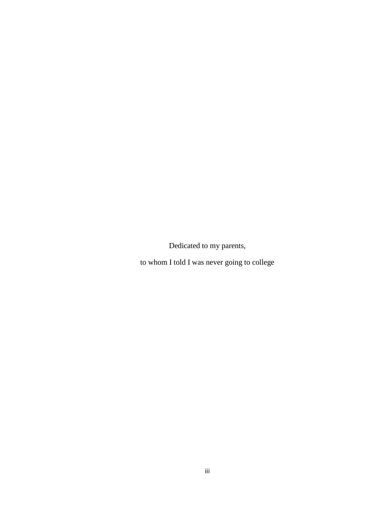Dedicated to my parents,

to whom I told I was never going to college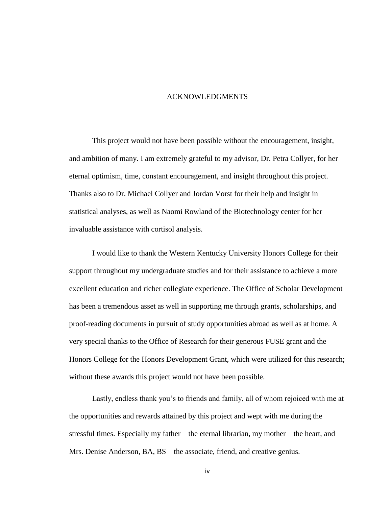#### ACKNOWLEDGMENTS

This project would not have been possible without the encouragement, insight, and ambition of many. I am extremely grateful to my advisor, Dr. Petra Collyer, for her eternal optimism, time, constant encouragement, and insight throughout this project. Thanks also to Dr. Michael Collyer and Jordan Vorst for their help and insight in statistical analyses, as well as Naomi Rowland of the Biotechnology center for her invaluable assistance with cortisol analysis.

I would like to thank the Western Kentucky University Honors College for their support throughout my undergraduate studies and for their assistance to achieve a more excellent education and richer collegiate experience. The Office of Scholar Development has been a tremendous asset as well in supporting me through grants, scholarships, and proof-reading documents in pursuit of study opportunities abroad as well as at home. A very special thanks to the Office of Research for their generous FUSE grant and the Honors College for the Honors Development Grant, which were utilized for this research; without these awards this project would not have been possible.

Lastly, endless thank you's to friends and family, all of whom rejoiced with me at the opportunities and rewards attained by this project and wept with me during the stressful times. Especially my father—the eternal librarian, my mother—the heart, and Mrs. Denise Anderson, BA, BS—the associate, friend, and creative genius.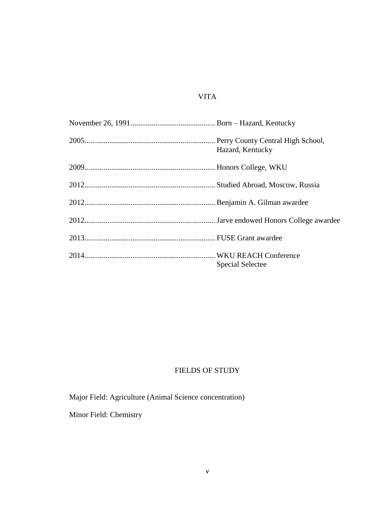# VITA

| Hazard, Kentucky        |
|-------------------------|
|                         |
|                         |
|                         |
|                         |
|                         |
| <b>Special Selectee</b> |

# FIELDS OF STUDY

Major Field: Agriculture (Animal Science concentration)

Minor Field: Chemistry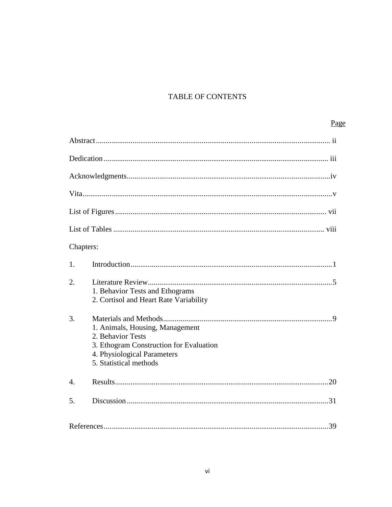# TABLE OF CONTENTS

# Page

| Chapters:        |                                                                                                                                                          |
|------------------|----------------------------------------------------------------------------------------------------------------------------------------------------------|
| 1.               |                                                                                                                                                          |
| 2.               | 1. Behavior Tests and Ethograms<br>2. Cortisol and Heart Rate Variability                                                                                |
| 3.               | 1. Animals, Housing, Management<br>2. Behavior Tests<br>3. Ethogram Construction for Evaluation<br>4. Physiological Parameters<br>5. Statistical methods |
| $\overline{4}$ . |                                                                                                                                                          |
| 5.               |                                                                                                                                                          |
|                  |                                                                                                                                                          |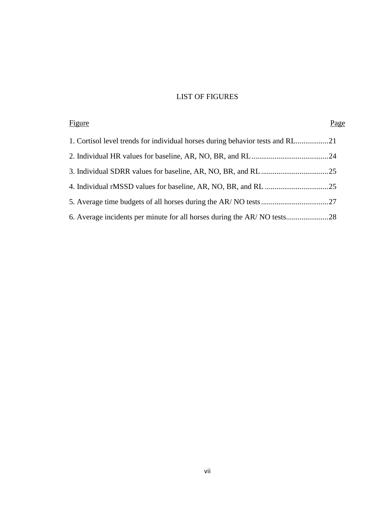# LIST OF FIGURES

| Figure                                                                        | Page |
|-------------------------------------------------------------------------------|------|
| 1. Cortisol level trends for individual horses during behavior tests and RL21 |      |
|                                                                               |      |
|                                                                               |      |
|                                                                               |      |
|                                                                               |      |
|                                                                               |      |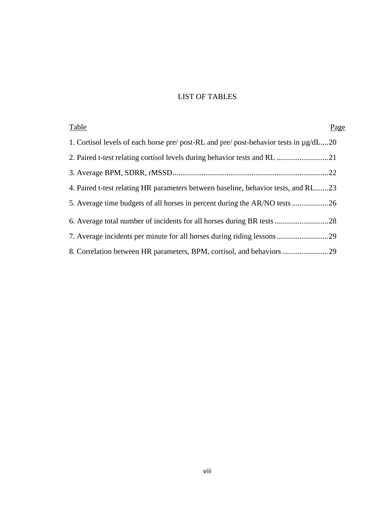# LIST OF TABLES

| Table                                                                                      | Page |
|--------------------------------------------------------------------------------------------|------|
| 1. Cortisol levels of each horse pre/ post-RL and pre/ post-behavior tests in $\mu$ g/dL20 |      |
|                                                                                            |      |
|                                                                                            |      |
| 4. Paired t-test relating HR parameters between baseline, behavior tests, and RL23         |      |
|                                                                                            |      |
|                                                                                            |      |
|                                                                                            |      |
|                                                                                            |      |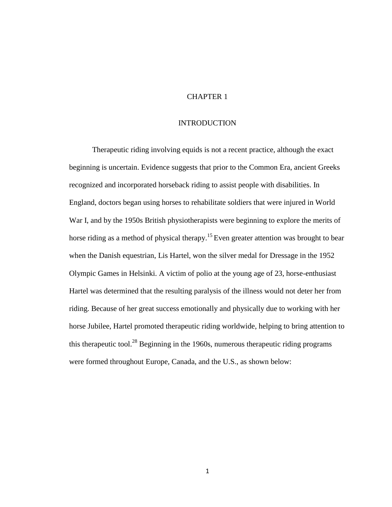# CHAPTER 1

# INTRODUCTION

Therapeutic riding involving equids is not a recent practice, although the exact beginning is uncertain. Evidence suggests that prior to the Common Era, ancient Greeks recognized and incorporated horseback riding to assist people with disabilities. In England, doctors began using horses to rehabilitate soldiers that were injured in World War I, and by the 1950s British physiotherapists were beginning to explore the merits of horse riding as a method of physical therapy.<sup>15</sup> Even greater attention was brought to bear when the Danish equestrian, Lis Hartel, won the silver medal for Dressage in the 1952 Olympic Games in Helsinki. A victim of polio at the young age of 23, horse-enthusiast Hartel was determined that the resulting paralysis of the illness would not deter her from riding. Because of her great success emotionally and physically due to working with her horse Jubilee, Hartel promoted therapeutic riding worldwide, helping to bring attention to this therapeutic tool.<sup>28</sup> Beginning in the 1960s, numerous therapeutic riding programs were formed throughout Europe, Canada, and the U.S., as shown below: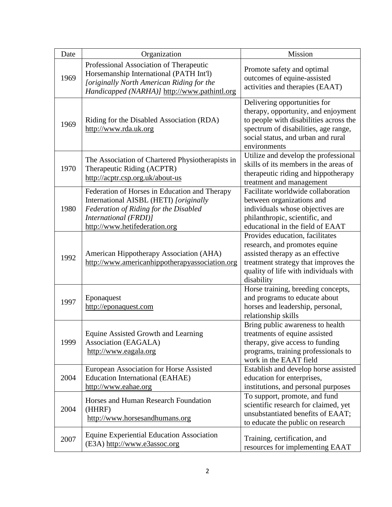| Date | Organization                                                                                                                                                                               | Mission                                                                                                                                                                                                     |  |
|------|--------------------------------------------------------------------------------------------------------------------------------------------------------------------------------------------|-------------------------------------------------------------------------------------------------------------------------------------------------------------------------------------------------------------|--|
| 1969 | Professional Association of Therapeutic<br>Horsemanship International (PATH Int'l)<br>[originally North American Riding for the<br>Handicapped (NARHA)] http://www.pathintl.org            | Promote safety and optimal<br>outcomes of equine-assisted<br>activities and therapies (EAAT)                                                                                                                |  |
| 1969 | Riding for the Disabled Association (RDA)<br>http://www.rda.uk.org                                                                                                                         | Delivering opportunities for<br>therapy, opportunity, and enjoyment<br>to people with disabilities across the<br>spectrum of disabilities, age range,<br>social status, and urban and rural<br>environments |  |
| 1970 | The Association of Chartered Physiotherapists in<br>Therapeutic Riding (ACPTR)<br>http://acptr.csp.org.uk/about-us                                                                         | Utilize and develop the professional<br>skills of its members in the areas of<br>therapeutic riding and hippotherapy<br>treatment and management                                                            |  |
| 1980 | Federation of Horses in Education and Therapy<br>International AISBL (HETI) [originally<br>Federation of Riding for the Disabled<br>International (FRDI)]<br>http://www.hetifederation.org | Facilitate worldwide collaboration<br>between organizations and<br>individuals whose objectives are<br>philanthropic, scientific, and<br>educational in the field of EAAT                                   |  |
| 1992 | American Hippotherapy Association (AHA)<br>http://www.americanhippotherapyassociation.org                                                                                                  | Provides education, facilitates<br>research, and promotes equine<br>assisted therapy as an effective<br>treatment strategy that improves the<br>quality of life with individuals with<br>disability         |  |
| 1997 | Eponaquest<br>http://eponaquest.com                                                                                                                                                        | Horse training, breeding concepts,<br>and programs to educate about<br>horses and leadership, personal,<br>relationship skills                                                                              |  |
| 1999 | Equine Assisted Growth and Learning<br>Association (EAGALA)<br>http://www.eagala.org                                                                                                       | Bring public awareness to health<br>treatments of equine assisted<br>therapy, give access to funding<br>programs, training professionals to<br>work in the EAAT field                                       |  |
| 2004 | European Association for Horse Assisted<br><b>Education International (EAHAE)</b><br>http://www.eahae.org                                                                                  | Establish and develop horse assisted<br>education for enterprises,<br>institutions, and personal purposes                                                                                                   |  |
| 2004 | Horses and Human Research Foundation<br>(HHRF)<br>http://www.horsesandhumans.org                                                                                                           | To support, promote, and fund<br>scientific research for claimed, yet<br>unsubstantiated benefits of EAAT;<br>to educate the public on research                                                             |  |
| 2007 | <b>Equine Experiential Education Association</b><br>(E3A) http://www.e3assoc.org                                                                                                           | Training, certification, and<br>resources for implementing EAAT                                                                                                                                             |  |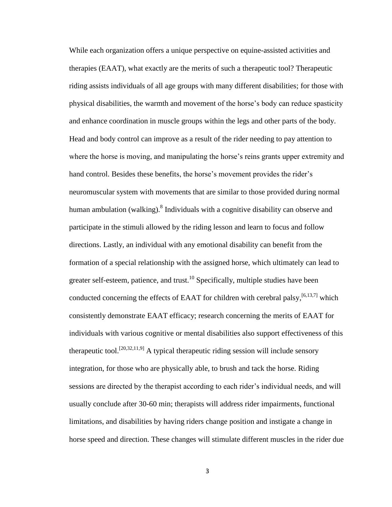While each organization offers a unique perspective on equine-assisted activities and therapies (EAAT), what exactly are the merits of such a therapeutic tool? Therapeutic riding assists individuals of all age groups with many different disabilities; for those with physical disabilities, the warmth and movement of the horse's body can reduce spasticity and enhance coordination in muscle groups within the legs and other parts of the body. Head and body control can improve as a result of the rider needing to pay attention to where the horse is moving, and manipulating the horse's reins grants upper extremity and hand control. Besides these benefits, the horse's movement provides the rider's neuromuscular system with movements that are similar to those provided during normal human ambulation (walking). <sup>8</sup> Individuals with a cognitive disability can observe and participate in the stimuli allowed by the riding lesson and learn to focus and follow directions. Lastly, an individual with any emotional disability can benefit from the formation of a special relationship with the assigned horse, which ultimately can lead to greater self-esteem, patience, and trust.<sup>10</sup> Specifically, multiple studies have been conducted concerning the effects of EAAT for children with cerebral palsy,  $[6,13,7]$  which consistently demonstrate EAAT efficacy; research concerning the merits of EAAT for individuals with various cognitive or mental disabilities also support effectiveness of this therapeutic tool.<sup>[20,32,11,9]</sup> A typical therapeutic riding session will include sensory integration, for those who are physically able, to brush and tack the horse. Riding sessions are directed by the therapist according to each rider's individual needs, and will usually conclude after 30-60 min; therapists will address rider impairments, functional limitations, and disabilities by having riders change position and instigate a change in horse speed and direction. These changes will stimulate different muscles in the rider due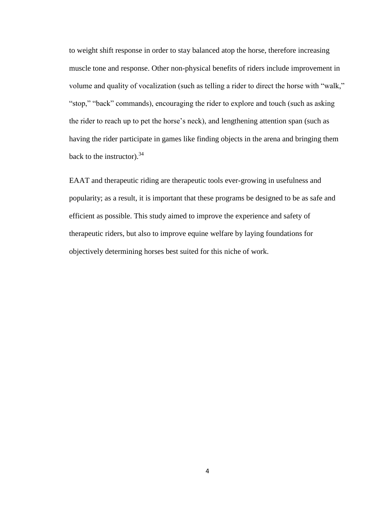to weight shift response in order to stay balanced atop the horse, therefore increasing muscle tone and response. Other non-physical benefits of riders include improvement in volume and quality of vocalization (such as telling a rider to direct the horse with "walk," "stop," "back" commands), encouraging the rider to explore and touch (such as asking the rider to reach up to pet the horse's neck), and lengthening attention span (such as having the rider participate in games like finding objects in the arena and bringing them back to the instructor).  $34$ 

EAAT and therapeutic riding are therapeutic tools ever-growing in usefulness and popularity; as a result, it is important that these programs be designed to be as safe and efficient as possible. This study aimed to improve the experience and safety of therapeutic riders, but also to improve equine welfare by laying foundations for objectively determining horses best suited for this niche of work.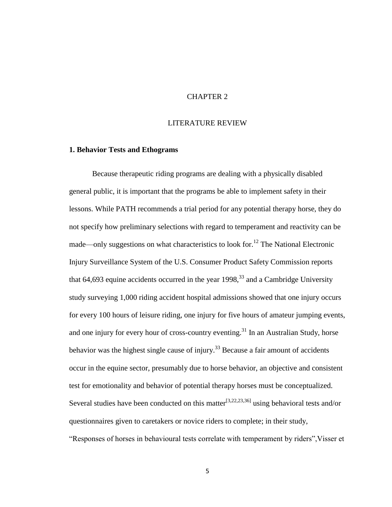# CHAPTER 2

# LITERATURE REVIEW

#### **1. Behavior Tests and Ethograms**

Because therapeutic riding programs are dealing with a physically disabled general public, it is important that the programs be able to implement safety in their lessons. While PATH recommends a trial period for any potential therapy horse, they do not specify how preliminary selections with regard to temperament and reactivity can be made—only suggestions on what characteristics to look for.<sup>12</sup> The National Electronic Injury Surveillance System of the U.S. Consumer Product Safety Commission reports that 64,693 equine accidents occurred in the year  $1998<sup>33</sup>$  and a Cambridge University study surveying 1,000 riding accident hospital admissions showed that one injury occurs for every 100 hours of leisure riding, one injury for five hours of amateur jumping events, and one injury for every hour of cross-country eventing.<sup>31</sup> In an Australian Study, horse behavior was the highest single cause of injury.<sup>33</sup> Because a fair amount of accidents occur in the equine sector, presumably due to horse behavior, an objective and consistent test for emotionality and behavior of potential therapy horses must be conceptualized. Several studies have been conducted on this matter<sup>[3,22,23,36]</sup> using behavioral tests and/or questionnaires given to caretakers or novice riders to complete; in their study, "Responses of horses in behavioural tests correlate with temperament by riders",Visser et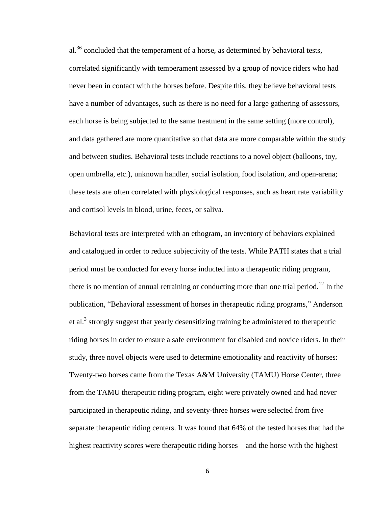al.<sup>36</sup> concluded that the temperament of a horse, as determined by behavioral tests, correlated significantly with temperament assessed by a group of novice riders who had never been in contact with the horses before. Despite this, they believe behavioral tests have a number of advantages, such as there is no need for a large gathering of assessors, each horse is being subjected to the same treatment in the same setting (more control), and data gathered are more quantitative so that data are more comparable within the study and between studies. Behavioral tests include reactions to a novel object (balloons, toy, open umbrella, etc.), unknown handler, social isolation, food isolation, and open-arena; these tests are often correlated with physiological responses, such as heart rate variability and cortisol levels in blood, urine, feces, or saliva.

Behavioral tests are interpreted with an ethogram, an inventory of behaviors explained and catalogued in order to reduce subjectivity of the tests. While PATH states that a trial period must be conducted for every horse inducted into a therapeutic riding program, there is no mention of annual retraining or conducting more than one trial period.<sup>12</sup> In the publication, "Behavioral assessment of horses in therapeutic riding programs," Anderson et al.<sup>3</sup> strongly suggest that yearly desensitizing training be administered to therapeutic riding horses in order to ensure a safe environment for disabled and novice riders. In their study, three novel objects were used to determine emotionality and reactivity of horses: Twenty-two horses came from the Texas A&M University (TAMU) Horse Center, three from the TAMU therapeutic riding program, eight were privately owned and had never participated in therapeutic riding, and seventy-three horses were selected from five separate therapeutic riding centers. It was found that 64% of the tested horses that had the highest reactivity scores were therapeutic riding horses—and the horse with the highest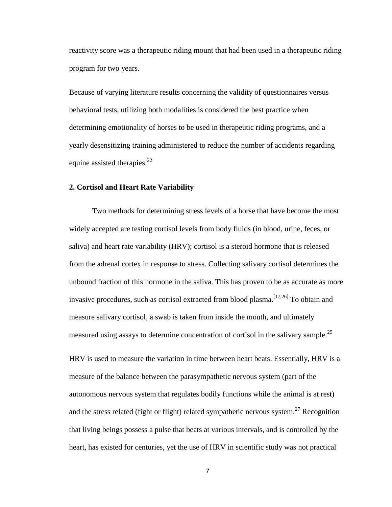reactivity score was a therapeutic riding mount that had been used in a therapeutic riding program for two years.

Because of varying literature results concerning the validity of questionnaires versus behavioral tests, utilizing both modalities is considered the best practice when determining emotionality of horses to be used in therapeutic riding programs, and a yearly desensitizing training administered to reduce the number of accidents regarding equine assisted therapies.<sup>22</sup>

## **2. Cortisol and Heart Rate Variability**

Two methods for determining stress levels of a horse that have become the most widely accepted are testing cortisol levels from body fluids (in blood, urine, feces, or saliva) and heart rate variability (HRV); cortisol is a steroid hormone that is released from the adrenal cortex in response to stress. Collecting salivary cortisol determines the unbound fraction of this hormone in the saliva. This has proven to be as accurate as more invasive procedures, such as cortisol extracted from blood plasma.  $\left[17,26\right]$  To obtain and measure salivary cortisol, a swab is taken from inside the mouth, and ultimately measured using assays to determine concentration of cortisol in the salivary sample.<sup>25</sup>

HRV is used to measure the variation in time between heart beats. Essentially, HRV is a measure of the balance between the parasympathetic nervous system (part of the autonomous nervous system that regulates bodily functions while the animal is at rest) and the stress related (fight or flight) related sympathetic nervous system.<sup>27</sup> Recognition that living beings possess a pulse that beats at various intervals, and is controlled by the heart, has existed for centuries, yet the use of HRV in scientific study was not practical

7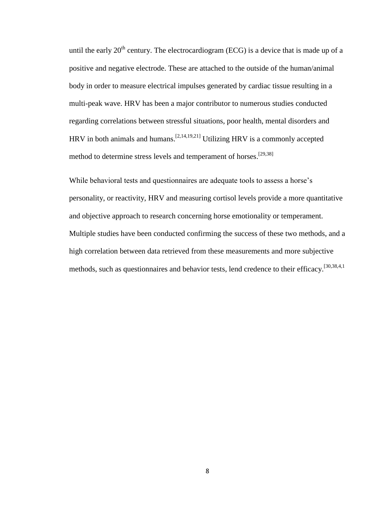until the early  $20<sup>th</sup>$  century. The electrocardiogram (ECG) is a device that is made up of a positive and negative electrode. These are attached to the outside of the human/animal body in order to measure electrical impulses generated by cardiac tissue resulting in a multi-peak wave. HRV has been a major contributor to numerous studies conducted regarding correlations between stressful situations, poor health, mental disorders and HRV in both animals and humans.  $[2,14,19,21]$  Utilizing HRV is a commonly accepted method to determine stress levels and temperament of horses.<sup>[29,38]</sup>

While behavioral tests and questionnaires are adequate tools to assess a horse's personality, or reactivity, HRV and measuring cortisol levels provide a more quantitative and objective approach to research concerning horse emotionality or temperament. Multiple studies have been conducted confirming the success of these two methods, and a high correlation between data retrieved from these measurements and more subjective methods, such as questionnaires and behavior tests, lend credence to their efficacy.<sup>[30,38,4,1</sup>]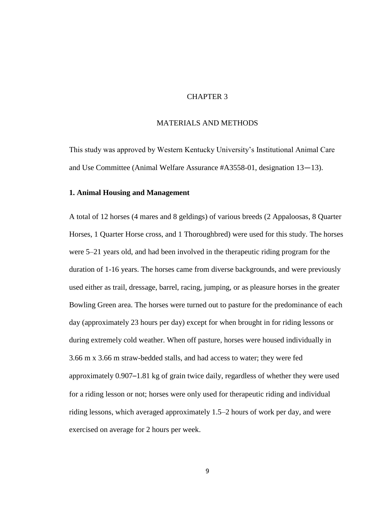# CHAPTER 3

# MATERIALS AND METHODS

This study was approved by Western Kentucky University's Institutional Animal Care and Use Committee (Animal Welfare Assurance #A3558-01, designation 13—13).

## **1. Animal Housing and Management**

A total of 12 horses (4 mares and 8 geldings) of various breeds (2 Appaloosas, 8 Quarter Horses, 1 Quarter Horse cross, and 1 Thoroughbred) were used for this study. The horses were 5–21 years old, and had been involved in the therapeutic riding program for the duration of 1-16 years. The horses came from diverse backgrounds, and were previously used either as trail, dressage, barrel, racing, jumping, or as pleasure horses in the greater Bowling Green area. The horses were turned out to pasture for the predominance of each day (approximately 23 hours per day) except for when brought in for riding lessons or during extremely cold weather. When off pasture, horses were housed individually in 3.66 m x 3.66 m straw-bedded stalls, and had access to water; they were fed approximately 0.907–1.81 kg of grain twice daily, regardless of whether they were used for a riding lesson or not; horses were only used for therapeutic riding and individual riding lessons, which averaged approximately 1.5–2 hours of work per day, and were exercised on average for 2 hours per week.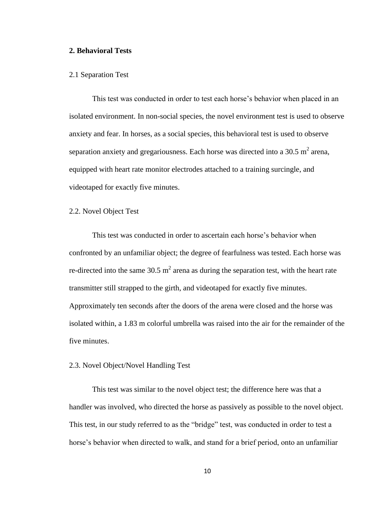# **2. Behavioral Tests**

#### 2.1 Separation Test

This test was conducted in order to test each horse's behavior when placed in an isolated environment. In non-social species, the novel environment test is used to observe anxiety and fear. In horses, as a social species, this behavioral test is used to observe separation anxiety and gregariousness. Each horse was directed into a 30.5  $m^2$  arena, equipped with heart rate monitor electrodes attached to a training surcingle, and videotaped for exactly five minutes.

## 2.2. Novel Object Test

This test was conducted in order to ascertain each horse's behavior when confronted by an unfamiliar object; the degree of fearfulness was tested. Each horse was re-directed into the same 30.5 m<sup>2</sup> arena as during the separation test, with the heart rate transmitter still strapped to the girth, and videotaped for exactly five minutes. Approximately ten seconds after the doors of the arena were closed and the horse was isolated within, a 1.83 m colorful umbrella was raised into the air for the remainder of the five minutes.

## 2.3. Novel Object/Novel Handling Test

This test was similar to the novel object test; the difference here was that a handler was involved, who directed the horse as passively as possible to the novel object. This test, in our study referred to as the "bridge" test, was conducted in order to test a horse's behavior when directed to walk, and stand for a brief period, onto an unfamiliar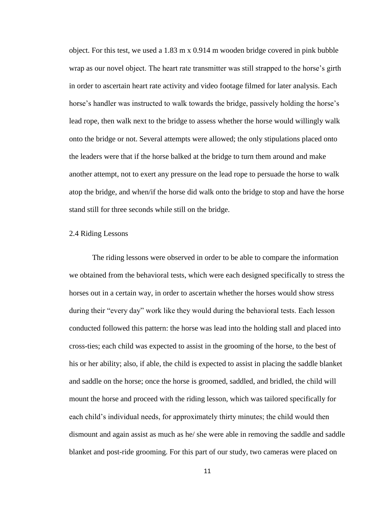object. For this test, we used a 1.83 m x 0.914 m wooden bridge covered in pink bubble wrap as our novel object. The heart rate transmitter was still strapped to the horse's girth in order to ascertain heart rate activity and video footage filmed for later analysis. Each horse's handler was instructed to walk towards the bridge, passively holding the horse's lead rope, then walk next to the bridge to assess whether the horse would willingly walk onto the bridge or not. Several attempts were allowed; the only stipulations placed onto the leaders were that if the horse balked at the bridge to turn them around and make another attempt, not to exert any pressure on the lead rope to persuade the horse to walk atop the bridge, and when/if the horse did walk onto the bridge to stop and have the horse stand still for three seconds while still on the bridge.

# 2.4 Riding Lessons

The riding lessons were observed in order to be able to compare the information we obtained from the behavioral tests, which were each designed specifically to stress the horses out in a certain way, in order to ascertain whether the horses would show stress during their "every day" work like they would during the behavioral tests. Each lesson conducted followed this pattern: the horse was lead into the holding stall and placed into cross-ties; each child was expected to assist in the grooming of the horse, to the best of his or her ability; also, if able, the child is expected to assist in placing the saddle blanket and saddle on the horse; once the horse is groomed, saddled, and bridled, the child will mount the horse and proceed with the riding lesson, which was tailored specifically for each child's individual needs, for approximately thirty minutes; the child would then dismount and again assist as much as he/ she were able in removing the saddle and saddle blanket and post-ride grooming. For this part of our study, two cameras were placed on

11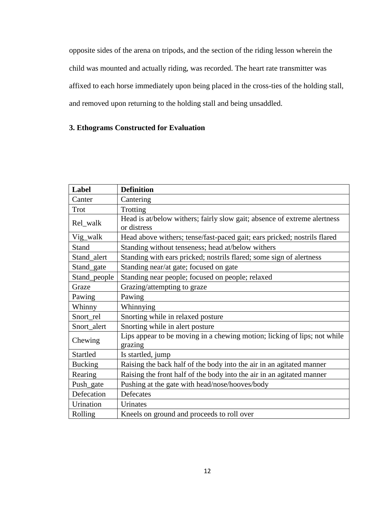opposite sides of the arena on tripods, and the section of the riding lesson wherein the child was mounted and actually riding, was recorded. The heart rate transmitter was affixed to each horse immediately upon being placed in the cross-ties of the holding stall, and removed upon returning to the holding stall and being unsaddled.

# **3. Ethograms Constructed for Evaluation**

| <b>Label</b>   | <b>Definition</b>                                                                       |
|----------------|-----------------------------------------------------------------------------------------|
| Canter         | Cantering                                                                               |
| Trot           | Trotting                                                                                |
| Rel_walk       | Head is at/below withers; fairly slow gait; absence of extreme alertness<br>or distress |
| Vig_walk       | Head above withers; tense/fast-paced gait; ears pricked; nostrils flared                |
| Stand          | Standing without tenseness; head at/below withers                                       |
| Stand_alert    | Standing with ears pricked; nostrils flared; some sign of alertness                     |
| Stand_gate     | Standing near/at gate; focused on gate                                                  |
| Stand_people   | Standing near people; focused on people; relaxed                                        |
| Graze          | Grazing/attempting to graze                                                             |
| Pawing         | Pawing                                                                                  |
| Whinny         | Whinnying                                                                               |
| Snort_rel      | Snorting while in relaxed posture                                                       |
| Snort_alert    | Snorting while in alert posture                                                         |
| Chewing        | Lips appear to be moving in a chewing motion; licking of lips; not while<br>grazing     |
| Startled       | Is startled, jump                                                                       |
| <b>Bucking</b> | Raising the back half of the body into the air in an agitated manner                    |
| Rearing        | Raising the front half of the body into the air in an agitated manner                   |
| Push_gate      | Pushing at the gate with head/nose/hooves/body                                          |
| Defecation     | Defecates                                                                               |
| Urination      | Urinates                                                                                |
| Rolling        | Kneels on ground and proceeds to roll over                                              |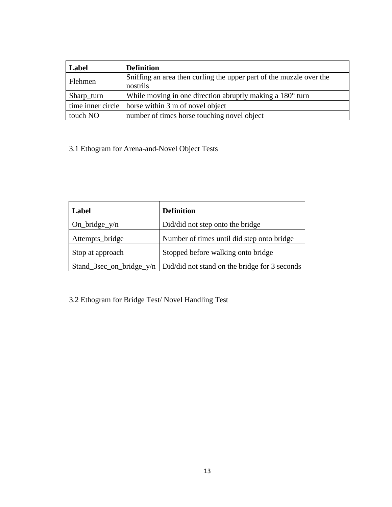| Label      | <b>Definition</b>                                                     |
|------------|-----------------------------------------------------------------------|
|            | Sniffing an area then curling the upper part of the muzzle over the   |
| Flehmen    | nostrils                                                              |
| Sharp_turn | While moving in one direction abruptly making a 180 <sup>°</sup> turn |
|            | time inner circle $\vert$ horse within 3 m of novel object            |
| touch NO   | number of times horse touching novel object                           |

3.1 Ethogram for Arena-and-Novel Object Tests

| Label                    | <b>Definition</b>                             |
|--------------------------|-----------------------------------------------|
| $On\_bridge\_y/n$        | Did/did not step onto the bridge              |
| Attempts_bridge          | Number of times until did step onto bridge    |
| Stop at approach         | Stopped before walking onto bridge            |
| Stand_3sec_on_bridge_y/n | Did/did not stand on the bridge for 3 seconds |

3.2 Ethogram for Bridge Test/ Novel Handling Test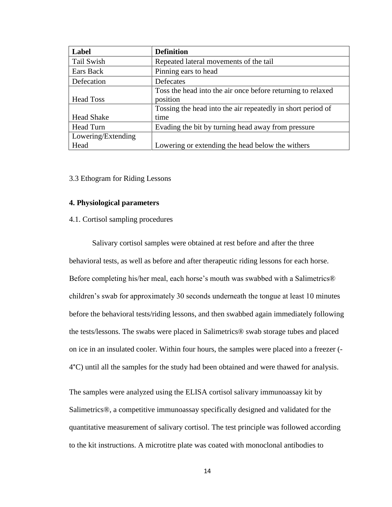| Label              | <b>Definition</b>                                           |
|--------------------|-------------------------------------------------------------|
| Tail Swish         | Repeated lateral movements of the tail                      |
| Ears Back          | Pinning ears to head                                        |
| Defecation         | Defecates                                                   |
|                    | Toss the head into the air once before returning to relaxed |
| <b>Head Toss</b>   | position                                                    |
|                    | Tossing the head into the air repeatedly in short period of |
| <b>Head Shake</b>  | time                                                        |
| Head Turn          | Evading the bit by turning head away from pressure          |
| Lowering/Extending |                                                             |
| Head               | Lowering or extending the head below the withers            |

3.3 Ethogram for Riding Lessons

#### **4. Physiological parameters**

4.1. Cortisol sampling procedures

Salivary cortisol samples were obtained at rest before and after the three behavioral tests, as well as before and after therapeutic riding lessons for each horse. Before completing his/her meal, each horse's mouth was swabbed with a Salimetrics® children's swab for approximately 30 seconds underneath the tongue at least 10 minutes before the behavioral tests/riding lessons, and then swabbed again immediately following the tests/lessons. The swabs were placed in Salimetrics® swab storage tubes and placed on ice in an insulated cooler. Within four hours, the samples were placed into a freezer (- 4°C) until all the samples for the study had been obtained and were thawed for analysis.

The samples were analyzed using the ELISA cortisol salivary immunoassay kit by Salimetrics®, a competitive immunoassay specifically designed and validated for the quantitative measurement of salivary cortisol. The test principle was followed according to the kit instructions. A microtitre plate was coated with monoclonal antibodies to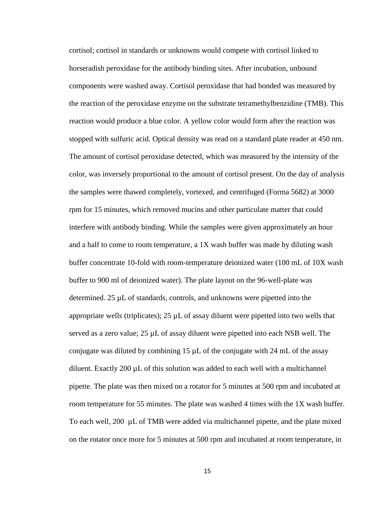cortisol; cortisol in standards or unknowns would compete with cortisol linked to horseradish peroxidase for the antibody binding sites. After incubation, unbound components were washed away. Cortisol peroxidase that had bonded was measured by the reaction of the peroxidase enzyme on the substrate tetramethylbenzidine (TMB). This reaction would produce a blue color. A yellow color would form after the reaction was stopped with sulfuric acid. Optical density was read on a standard plate reader at 450 nm. The amount of cortisol peroxidase detected, which was measured by the intensity of the color, was inversely proportional to the amount of cortisol present. On the day of analysis the samples were thawed completely, vortexed, and centrifuged (Forma 5682) at 3000 rpm for 15 minutes, which removed mucins and other particulate matter that could interfere with antibody binding. While the samples were given approximately an hour and a half to come to room temperature, a 1X wash buffer was made by diluting wash buffer concentrate 10-fold with room-temperature deionized water (100 mL of 10X wash buffer to 900 ml of deionized water). The plate layout on the 96-well-plate was determined. 25 µL of standards, controls, and unknowns were pipetted into the appropriate wells (triplicates);  $25 \mu L$  of assay diluent were pipetted into two wells that served as a zero value;  $25 \mu L$  of assay diluent were pipetted into each NSB well. The conjugate was diluted by combining 15  $\mu$ L of the conjugate with 24 mL of the assay diluent. Exactly 200 µL of this solution was added to each well with a multichannel pipette. The plate was then mixed on a rotator for 5 minutes at 500 rpm and incubated at room temperature for 55 minutes. The plate was washed 4 times with the 1X wash buffer. To each well, 200 µL of TMB were added via multichannel pipette, and the plate mixed on the rotator once more for 5 minutes at 500 rpm and incubated at room temperature, in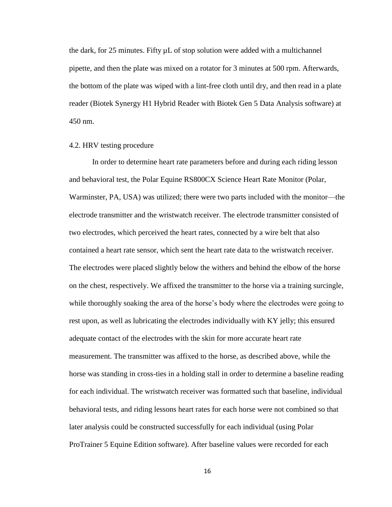the dark, for 25 minutes. Fifty µL of stop solution were added with a multichannel pipette, and then the plate was mixed on a rotator for 3 minutes at 500 rpm. Afterwards, the bottom of the plate was wiped with a lint-free cloth until dry, and then read in a plate reader (Biotek Synergy H1 Hybrid Reader with Biotek Gen 5 Data Analysis software) at 450 nm.

#### 4.2. HRV testing procedure

In order to determine heart rate parameters before and during each riding lesson and behavioral test, the Polar Equine RS800CX Science Heart Rate Monitor (Polar, Warminster, PA, USA) was utilized; there were two parts included with the monitor—the electrode transmitter and the wristwatch receiver. The electrode transmitter consisted of two electrodes, which perceived the heart rates, connected by a wire belt that also contained a heart rate sensor, which sent the heart rate data to the wristwatch receiver. The electrodes were placed slightly below the withers and behind the elbow of the horse on the chest, respectively. We affixed the transmitter to the horse via a training surcingle, while thoroughly soaking the area of the horse's body where the electrodes were going to rest upon, as well as lubricating the electrodes individually with KY jelly; this ensured adequate contact of the electrodes with the skin for more accurate heart rate measurement. The transmitter was affixed to the horse, as described above, while the horse was standing in cross-ties in a holding stall in order to determine a baseline reading for each individual. The wristwatch receiver was formatted such that baseline, individual behavioral tests, and riding lessons heart rates for each horse were not combined so that later analysis could be constructed successfully for each individual (using Polar ProTrainer 5 Equine Edition software). After baseline values were recorded for each

16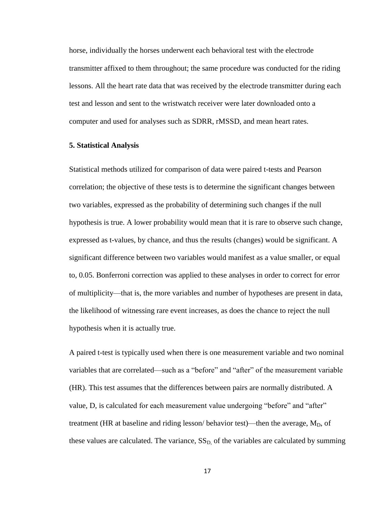horse, individually the horses underwent each behavioral test with the electrode transmitter affixed to them throughout; the same procedure was conducted for the riding lessons. All the heart rate data that was received by the electrode transmitter during each test and lesson and sent to the wristwatch receiver were later downloaded onto a computer and used for analyses such as SDRR, rMSSD, and mean heart rates.

#### **5. Statistical Analysis**

Statistical methods utilized for comparison of data were paired t-tests and Pearson correlation; the objective of these tests is to determine the significant changes between two variables, expressed as the probability of determining such changes if the null hypothesis is true. A lower probability would mean that it is rare to observe such change, expressed as t-values, by chance, and thus the results (changes) would be significant. A significant difference between two variables would manifest as a value smaller, or equal to, 0.05. Bonferroni correction was applied to these analyses in order to correct for error of multiplicity—that is, the more variables and number of hypotheses are present in data, the likelihood of witnessing rare event increases, as does the chance to reject the null hypothesis when it is actually true.

A paired t-test is typically used when there is one measurement variable and two nominal variables that are correlated—such as a "before" and "after" of the measurement variable (HR). This test assumes that the differences between pairs are normally distributed. A value, D, is calculated for each measurement value undergoing "before" and "after" treatment (HR at baseline and riding lesson/ behavior test)—then the average,  $M_D$ , of these values are calculated. The variance,  $SS<sub>D</sub>$  of the variables are calculated by summing

17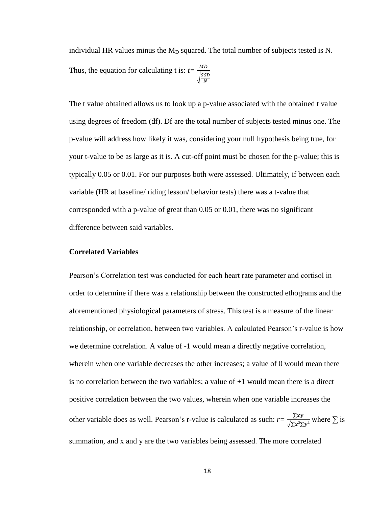individual HR values minus the  $M_D$  squared. The total number of subjects tested is N. Thus, the equation for calculating t is:  $t = \frac{M}{\sqrt{2}}$  $\frac{|S|}{|S|}$ N

The t value obtained allows us to look up a p-value associated with the obtained t value using degrees of freedom (df). Df are the total number of subjects tested minus one. The p-value will address how likely it was, considering your null hypothesis being true, for your t-value to be as large as it is. A cut-off point must be chosen for the p-value; this is typically 0.05 or 0.01. For our purposes both were assessed. Ultimately, if between each variable (HR at baseline/ riding lesson/ behavior tests) there was a t-value that corresponded with a p-value of great than 0.05 or 0.01, there was no significant difference between said variables.

#### **Correlated Variables**

Pearson's Correlation test was conducted for each heart rate parameter and cortisol in order to determine if there was a relationship between the constructed ethograms and the aforementioned physiological parameters of stress. This test is a measure of the linear relationship, or correlation, between two variables. A calculated Pearson's r-value is how we determine correlation. A value of -1 would mean a directly negative correlation, wherein when one variable decreases the other increases; a value of 0 would mean there is no correlation between the two variables; a value of +1 would mean there is a direct positive correlation between the two values, wherein when one variable increases the other variable does as well. Pearson's r-value is calculated as such:  $r = \frac{\sum_{n=1}^{n} x^n}{n!}$  $\frac{\Delta xy}{\sqrt{\sum x^2 \sum y^2}}$  where  $\sum$  is summation, and x and y are the two variables being assessed. The more correlated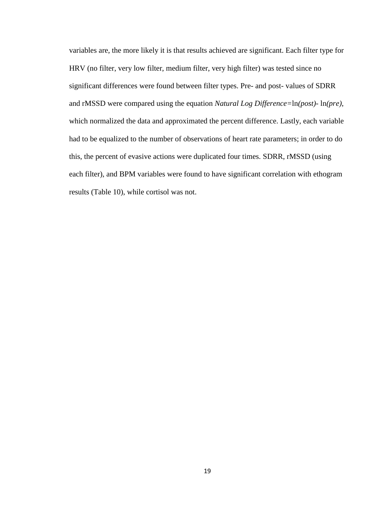variables are, the more likely it is that results achieved are significant. Each filter type for HRV (no filter, very low filter, medium filter, very high filter) was tested since no significant differences were found between filter types. Pre- and post- values of SDRR and rMSSD were compared using the equation *Natural Log Difference=*ln*(post)-* ln*(pre)*, which normalized the data and approximated the percent difference. Lastly, each variable had to be equalized to the number of observations of heart rate parameters; in order to do this, the percent of evasive actions were duplicated four times. SDRR, rMSSD (using each filter), and BPM variables were found to have significant correlation with ethogram results (Table 10), while cortisol was not.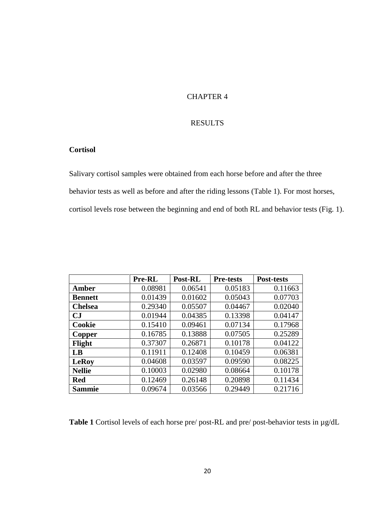# CHAPTER 4

# RESULTS

# **Cortisol**

Salivary cortisol samples were obtained from each horse before and after the three behavior tests as well as before and after the riding lessons (Table 1). For most horses, cortisol levels rose between the beginning and end of both RL and behavior tests (Fig. 1).

|                        | Pre-RL  | Post-RL | <b>Pre-tests</b> | <b>Post-tests</b> |
|------------------------|---------|---------|------------------|-------------------|
| <b>Amber</b>           | 0.08981 | 0.06541 | 0.05183          | 0.11663           |
| <b>Bennett</b>         | 0.01439 | 0.01602 | 0.05043          | 0.07703           |
| <b>Chelsea</b>         | 0.29340 | 0.05507 | 0.04467          | 0.02040           |
| $\mathbf{C}\mathbf{J}$ | 0.01944 | 0.04385 | 0.13398          | 0.04147           |
| <b>Cookie</b>          | 0.15410 | 0.09461 | 0.07134          | 0.17968           |
| Copper                 | 0.16785 | 0.13888 | 0.07505          | 0.25289           |
| Flight                 | 0.37307 | 0.26871 | 0.10178          | 0.04122           |
| LB                     | 0.11911 | 0.12408 | 0.10459          | 0.06381           |
| <b>LeRoy</b>           | 0.04608 | 0.03597 | 0.09590          | 0.08225           |
| <b>Nellie</b>          | 0.10003 | 0.02980 | 0.08664          | 0.10178           |
| <b>Red</b>             | 0.12469 | 0.26148 | 0.20898          | 0.11434           |
| <b>Sammie</b>          | 0.09674 | 0.03566 | 0.29449          | 0.21716           |

**Table 1** Cortisol levels of each horse pre/ post-RL and pre/ post-behavior tests in µg/dL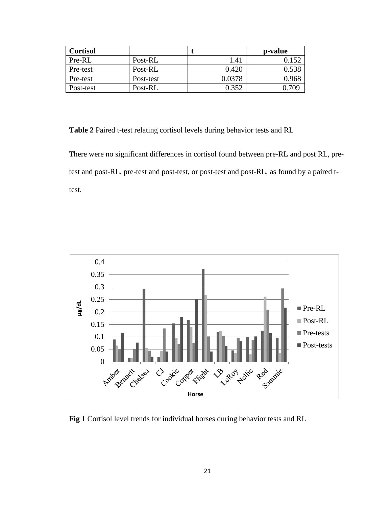| <b>Cortisol</b> |           |        | p-value |
|-----------------|-----------|--------|---------|
| Pre-RL          | Post-RL   | 1.41   |         |
| Pre-test        | Post-RL   | 0.420  | 0.538   |
| Pre-test        | Post-test | 0.0378 | 0.968   |
| Post-test       | Post-RL   | 0.352  | 709     |

**Table 2** Paired t-test relating cortisol levels during behavior tests and RL

There were no significant differences in cortisol found between pre-RL and post RL, pretest and post-RL, pre-test and post-test, or post-test and post-RL, as found by a paired ttest.



**Fig 1** Cortisol level trends for individual horses during behavior tests and RL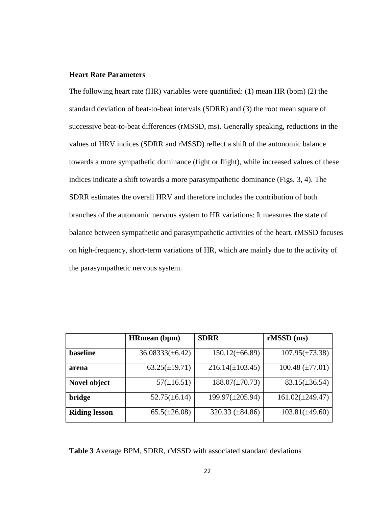# **Heart Rate Parameters**

The following heart rate (HR) variables were quantified: (1) mean HR (bpm) (2) the standard deviation of beat-to-beat intervals (SDRR) and (3) the root mean square of successive beat-to-beat differences (rMSSD, ms). Generally speaking, reductions in the values of HRV indices (SDRR and rMSSD) reflect a shift of the autonomic balance towards a more sympathetic dominance (fight or flight), while increased values of these indices indicate a shift towards a more parasympathetic dominance (Figs. 3, 4). The SDRR estimates the overall HRV and therefore includes the contribution of both branches of the autonomic nervous system to HR variations: It measures the state of balance between sympathetic and parasympathetic activities of the heart. rMSSD focuses on high-frequency, short-term variations of HR, which are mainly due to the activity of the parasympathetic nervous system.

|                      | <b>HRmean</b> (bpm)  | <b>SDRR</b>            | $rMSSD$ (ms)           |
|----------------------|----------------------|------------------------|------------------------|
| <b>baseline</b>      | $36.08333(\pm 6.42)$ | $150.12(\pm 66.89)$    | $107.95(\pm 73.38)$    |
| arena                | $63.25(\pm 19.71)$   | $216.14(\pm 103.45)$   | $100.48 \ (\pm 77.01)$ |
| Novel object         | $57(\pm 16.51)$      | $188.07(\pm 70.73)$    | $83.15(\pm 36.54)$     |
| bridge               | $52.75(\pm 6.14)$    | $199.97(\pm 205.94)$   | $161.02(\pm 249.47)$   |
| <b>Riding lesson</b> | $65.5(\pm 26.08)$    | $320.33 \ (\pm 84.86)$ | $103.81(\pm 49.60)$    |

**Table 3** Average BPM, SDRR, rMSSD with associated standard deviations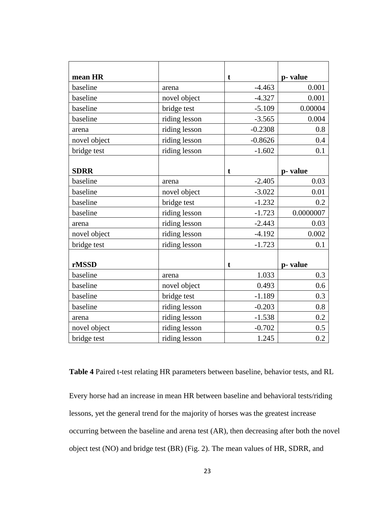| mean HR      |               | t         | p-value   |
|--------------|---------------|-----------|-----------|
| baseline     | arena         | $-4.463$  | 0.001     |
| baseline     | novel object  | $-4.327$  | 0.001     |
| baseline     | bridge test   | $-5.109$  | 0.00004   |
| baseline     | riding lesson | $-3.565$  | 0.004     |
| arena        | riding lesson | $-0.2308$ | 0.8       |
| novel object | riding lesson | $-0.8626$ | 0.4       |
| bridge test  | riding lesson | $-1.602$  | 0.1       |
|              |               |           |           |
| <b>SDRR</b>  |               | t         | p-value   |
| baseline     | arena         | $-2.405$  | 0.03      |
| baseline     | novel object  | $-3.022$  | 0.01      |
| baseline     | bridge test   | $-1.232$  | 0.2       |
| baseline     | riding lesson | $-1.723$  | 0.0000007 |
| arena        | riding lesson | $-2.443$  | 0.03      |
| novel object | riding lesson | $-4.192$  | 0.002     |
| bridge test  | riding lesson | $-1.723$  | 0.1       |
|              |               |           |           |
| rMSSD        |               | t         | p-value   |
| baseline     | arena         | 1.033     | 0.3       |
| baseline     | novel object  | 0.493     | 0.6       |
| baseline     | bridge test   | $-1.189$  | 0.3       |
| baseline     | riding lesson | $-0.203$  | 0.8       |
| arena        | riding lesson | $-1.538$  | 0.2       |
| novel object | riding lesson | $-0.702$  | 0.5       |
| bridge test  | riding lesson | 1.245     | 0.2       |

**Table 4** Paired t-test relating HR parameters between baseline, behavior tests, and RL

Every horse had an increase in mean HR between baseline and behavioral tests/riding lessons, yet the general trend for the majority of horses was the greatest increase occurring between the baseline and arena test (AR), then decreasing after both the novel object test (NO) and bridge test (BR) (Fig. 2). The mean values of HR, SDRR, and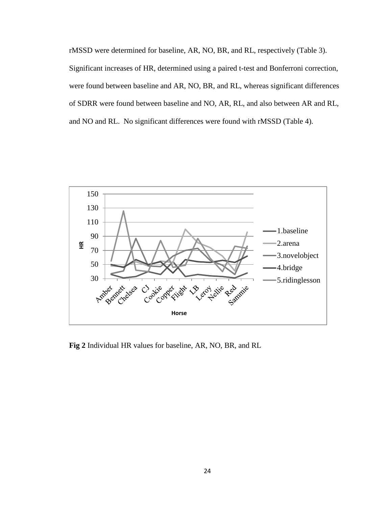rMSSD were determined for baseline, AR, NO, BR, and RL, respectively (Table 3). Significant increases of HR, determined using a paired t-test and Bonferroni correction, were found between baseline and AR, NO, BR, and RL, whereas significant differences of SDRR were found between baseline and NO, AR, RL, and also between AR and RL, and NO and RL. No significant differences were found with rMSSD (Table 4).



**Fig 2** Individual HR values for baseline, AR, NO, BR, and RL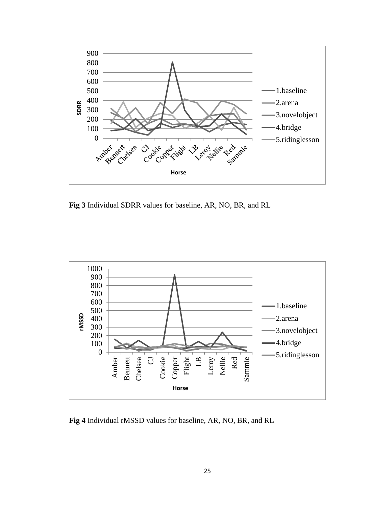

**Fig 3** Individual SDRR values for baseline, AR, NO, BR, and RL



**Fig 4** Individual rMSSD values for baseline, AR, NO, BR, and RL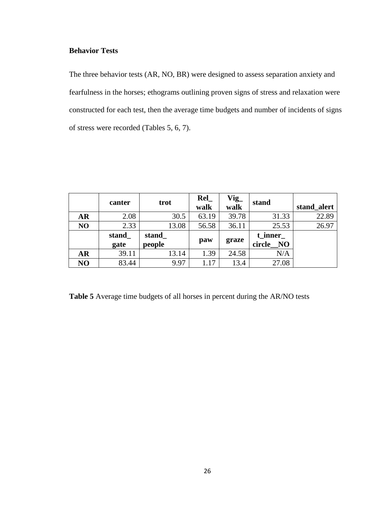# **Behavior Tests**

The three behavior tests (AR, NO, BR) were designed to assess separation anxiety and fearfulness in the horses; ethograms outlining proven signs of stress and relaxation were constructed for each test, then the average time budgets and number of incidents of signs of stress were recorded (Tables 5, 6, 7).

|           | canter        | trot            | ReI<br>walk | Vig_<br>walk | stand                   | stand alert |
|-----------|---------------|-----------------|-------------|--------------|-------------------------|-------------|
| <b>AR</b> | 2.08          | 30.5            | 63.19       | 39.78        | 31.33                   | 22.89       |
| NO        | 2.33          | 13.08           | 56.58       | 36.11        | 25.53                   | 26.97       |
|           | stand<br>gate | stand<br>people | paw         | graze        | t inner<br>circle<br>NO |             |
| <b>AR</b> | 39.11         | 13.14           | 1.39        | 24.58        | N/A                     |             |
| NO        | 83.44         | 9.97            | 1.17        | 13.4         | 27.08                   |             |

**Table 5** Average time budgets of all horses in percent during the AR/NO tests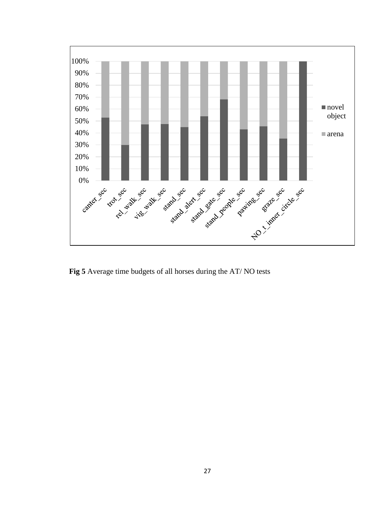

**Fig 5** Average time budgets of all horses during the AT/ NO tests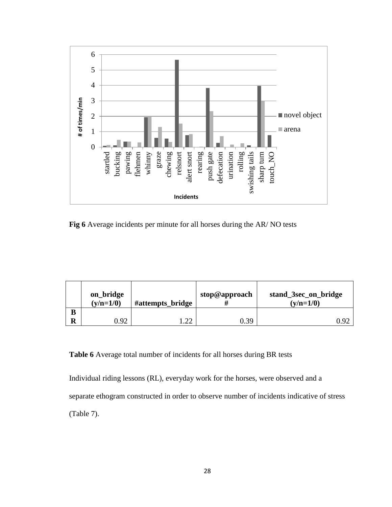

**Fig 6** Average incidents per minute for all horses during the AR/ NO tests

|   | on_bridge<br>$(y/n=1/0)$<br>#attempts_bridge |     | stop@approach | stand_3sec_on_bridge<br>$(y/n=1/0)$ |  |
|---|----------------------------------------------|-----|---------------|-------------------------------------|--|
| B |                                              |     |               |                                     |  |
|   | 0.92                                         | ົາາ | 0.39          | $0^{\circ}$                         |  |

# **Table 6** Average total number of incidents for all horses during BR tests

Individual riding lessons (RL), everyday work for the horses, were observed and a separate ethogram constructed in order to observe number of incidents indicative of stress (Table 7).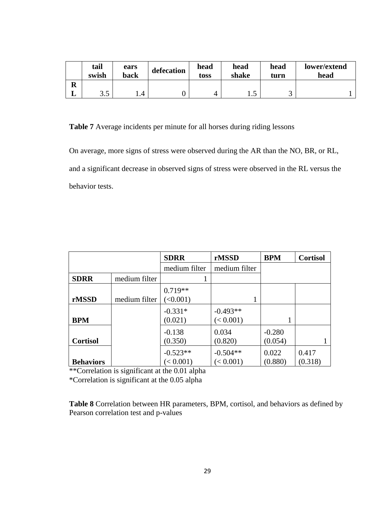|        | tail<br>swish | ears<br>back | defecation | head<br>toss | head<br>shake | head<br>turn | lower/extend<br>head |
|--------|---------------|--------------|------------|--------------|---------------|--------------|----------------------|
| D<br>n |               |              |            |              |               |              |                      |
| ┻      | 25<br>ر. ر    |              |            | ↵            | ر ۱           | ⌒<br>ັ       |                      |

**Table 7** Average incidents per minute for all horses during riding lessons

On average, more signs of stress were observed during the AR than the NO, BR, or RL, and a significant decrease in observed signs of stress were observed in the RL versus the behavior tests.

|                  |               | <b>SDRR</b>                 | rMSSD                   | <b>BPM</b>          | <b>Cortisol</b>  |
|------------------|---------------|-----------------------------|-------------------------|---------------------|------------------|
|                  |               | medium filter               | medium filter           |                     |                  |
| <b>SDRR</b>      | medium filter |                             |                         |                     |                  |
| rMSSD            | medium filter | $0.719**$<br>$\leq 0.001$ ) |                         |                     |                  |
| <b>BPM</b>       |               | $-0.331*$<br>(0.021)        | $-0.493**$<br>(< 0.001) |                     |                  |
| <b>Cortisol</b>  |               | $-0.138$<br>(0.350)         | 0.034<br>(0.820)        | $-0.280$<br>(0.054) |                  |
| <b>Behaviors</b> |               | $-0.523**$<br>(< 0.001)     | $-0.504**$<br>(< 0.001) | 0.022<br>(0.880)    | 0.417<br>(0.318) |

\*\*Correlation is significant at the 0.01 alpha

\*Correlation is significant at the 0.05 alpha

**Table 8** Correlation between HR parameters, BPM, cortisol, and behaviors as defined by Pearson correlation test and p-values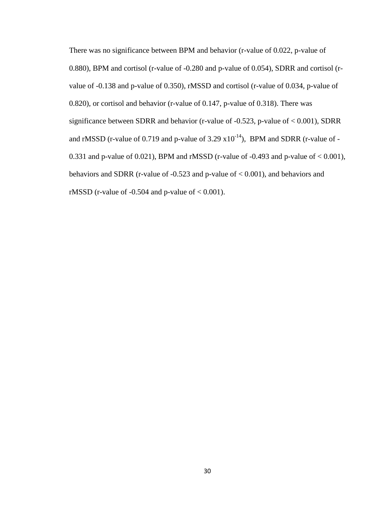There was no significance between BPM and behavior (r-value of 0.022, p-value of 0.880), BPM and cortisol (r-value of -0.280 and p-value of 0.054), SDRR and cortisol (rvalue of -0.138 and p-value of 0.350), rMSSD and cortisol (r-value of 0.034, p-value of 0.820), or cortisol and behavior (r-value of 0.147, p-value of 0.318). There was significance between SDRR and behavior (r-value of -0.523, p-value of < 0.001), SDRR and rMSSD (r-value of 0.719 and p-value of 3.29  $x10^{-14}$ ), BPM and SDRR (r-value of -0.331 and p-value of 0.021), BPM and rMSSD (r-value of  $-0.493$  and p-value of  $< 0.001$ ), behaviors and SDRR (r-value of -0.523 and p-value of < 0.001), and behaviors and rMSSD (r-value of  $-0.504$  and p-value of  $< 0.001$ ).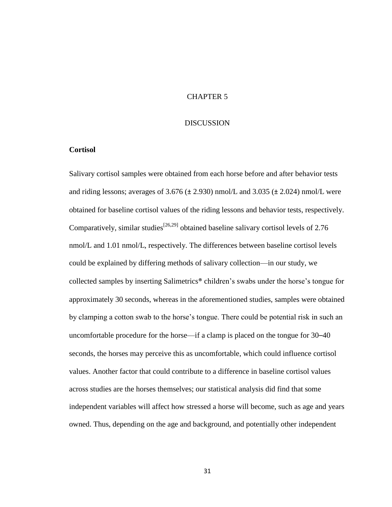# CHAPTER 5

#### DISCUSSION

# **Cortisol**

Salivary cortisol samples were obtained from each horse before and after behavior tests and riding lessons; averages of 3.676 ( $\pm$  2.930) nmol/L and 3.035 ( $\pm$  2.024) nmol/L were obtained for baseline cortisol values of the riding lessons and behavior tests, respectively. Comparatively, similar studies<sup>[26,29]</sup> obtained baseline salivary cortisol levels of 2.76 nmol/L and 1.01 nmol/L, respectively. The differences between baseline cortisol levels could be explained by differing methods of salivary collection—in our study, we collected samples by inserting Salimetrics® children's swabs under the horse's tongue for approximately 30 seconds, whereas in the aforementioned studies, samples were obtained by clamping a cotton swab to the horse's tongue. There could be potential risk in such an uncomfortable procedure for the horse—if a clamp is placed on the tongue for 30–40 seconds, the horses may perceive this as uncomfortable, which could influence cortisol values. Another factor that could contribute to a difference in baseline cortisol values across studies are the horses themselves; our statistical analysis did find that some independent variables will affect how stressed a horse will become, such as age and years owned. Thus, depending on the age and background, and potentially other independent

31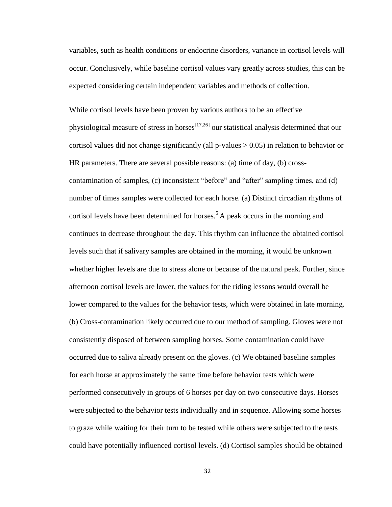variables, such as health conditions or endocrine disorders, variance in cortisol levels will occur. Conclusively, while baseline cortisol values vary greatly across studies, this can be expected considering certain independent variables and methods of collection.

While cortisol levels have been proven by various authors to be an effective physiological measure of stress in horses<sup>[17,26]</sup> our statistical analysis determined that our cortisol values did not change significantly (all p-values  $> 0.05$ ) in relation to behavior or HR parameters. There are several possible reasons: (a) time of day, (b) crosscontamination of samples, (c) inconsistent "before" and "after" sampling times, and (d) number of times samples were collected for each horse. (a) Distinct circadian rhythms of cortisol levels have been determined for horses.<sup>5</sup> A peak occurs in the morning and continues to decrease throughout the day. This rhythm can influence the obtained cortisol levels such that if salivary samples are obtained in the morning, it would be unknown whether higher levels are due to stress alone or because of the natural peak. Further, since afternoon cortisol levels are lower, the values for the riding lessons would overall be lower compared to the values for the behavior tests, which were obtained in late morning. (b) Cross-contamination likely occurred due to our method of sampling. Gloves were not consistently disposed of between sampling horses. Some contamination could have occurred due to saliva already present on the gloves. (c) We obtained baseline samples for each horse at approximately the same time before behavior tests which were performed consecutively in groups of 6 horses per day on two consecutive days. Horses were subjected to the behavior tests individually and in sequence. Allowing some horses to graze while waiting for their turn to be tested while others were subjected to the tests could have potentially influenced cortisol levels. (d) Cortisol samples should be obtained

32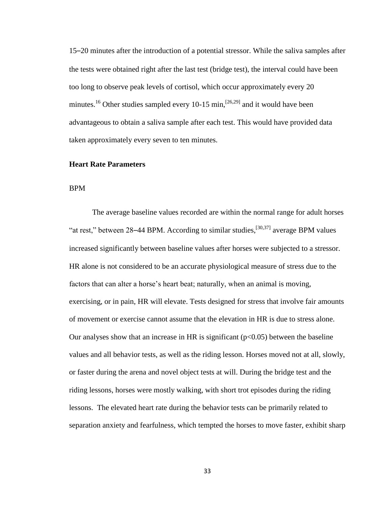15–20 minutes after the introduction of a potential stressor. While the saliva samples after the tests were obtained right after the last test (bridge test), the interval could have been too long to observe peak levels of cortisol, which occur approximately every 20 minutes.<sup>16</sup> Other studies sampled every 10-15 min,<sup>[26,29]</sup> and it would have been advantageous to obtain a saliva sample after each test. This would have provided data taken approximately every seven to ten minutes.

#### **Heart Rate Parameters**

#### BPM

The average baseline values recorded are within the normal range for adult horses "at rest," between 28–44 BPM. According to similar studies,  $^{[30,37]}$  average BPM values increased significantly between baseline values after horses were subjected to a stressor. HR alone is not considered to be an accurate physiological measure of stress due to the factors that can alter a horse's heart beat; naturally, when an animal is moving, exercising, or in pain, HR will elevate. Tests designed for stress that involve fair amounts of movement or exercise cannot assume that the elevation in HR is due to stress alone. Our analyses show that an increase in HR is significant  $(p<0.05)$  between the baseline values and all behavior tests, as well as the riding lesson. Horses moved not at all, slowly, or faster during the arena and novel object tests at will. During the bridge test and the riding lessons, horses were mostly walking, with short trot episodes during the riding lessons. The elevated heart rate during the behavior tests can be primarily related to separation anxiety and fearfulness, which tempted the horses to move faster, exhibit sharp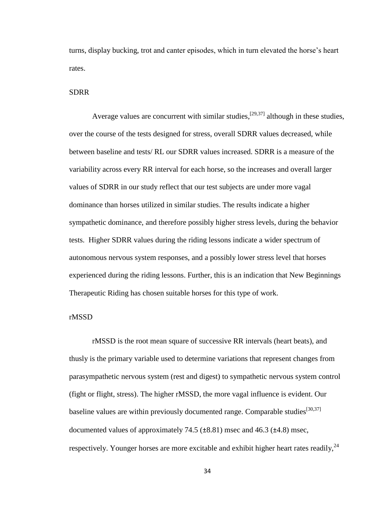turns, display bucking, trot and canter episodes, which in turn elevated the horse's heart rates.

# SDRR

Average values are concurrent with similar studies,  $[29,37]$  although in these studies, over the course of the tests designed for stress, overall SDRR values decreased, while between baseline and tests/ RL our SDRR values increased. SDRR is a measure of the variability across every RR interval for each horse, so the increases and overall larger values of SDRR in our study reflect that our test subjects are under more vagal dominance than horses utilized in similar studies. The results indicate a higher sympathetic dominance, and therefore possibly higher stress levels, during the behavior tests. Higher SDRR values during the riding lessons indicate a wider spectrum of autonomous nervous system responses, and a possibly lower stress level that horses experienced during the riding lessons. Further, this is an indication that New Beginnings Therapeutic Riding has chosen suitable horses for this type of work.

## rMSSD

rMSSD is the root mean square of successive RR intervals (heart beats), and thusly is the primary variable used to determine variations that represent changes from parasympathetic nervous system (rest and digest) to sympathetic nervous system control (fight or flight, stress). The higher rMSSD, the more vagal influence is evident. Our baseline values are within previously documented range. Comparable studies<sup>[30,37]</sup> documented values of approximately 74.5  $(\pm 8.81)$  msec and 46.3  $(\pm 4.8)$  msec, respectively. Younger horses are more excitable and exhibit higher heart rates readily,  $^{24}$ 

34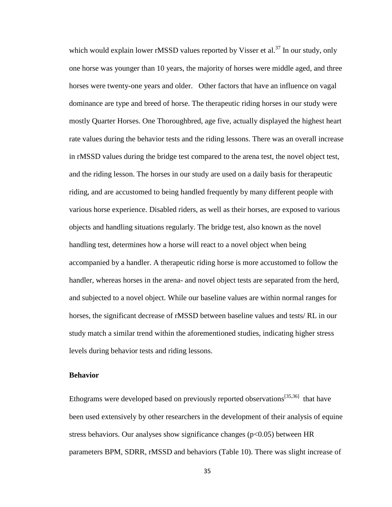which would explain lower rMSSD values reported by Visser et al.<sup>37</sup> In our study, only one horse was younger than 10 years, the majority of horses were middle aged, and three horses were twenty-one years and older. Other factors that have an influence on vagal dominance are type and breed of horse. The therapeutic riding horses in our study were mostly Quarter Horses. One Thoroughbred, age five, actually displayed the highest heart rate values during the behavior tests and the riding lessons. There was an overall increase in rMSSD values during the bridge test compared to the arena test, the novel object test, and the riding lesson. The horses in our study are used on a daily basis for therapeutic riding, and are accustomed to being handled frequently by many different people with various horse experience. Disabled riders, as well as their horses, are exposed to various objects and handling situations regularly. The bridge test, also known as the novel handling test, determines how a horse will react to a novel object when being accompanied by a handler. A therapeutic riding horse is more accustomed to follow the handler, whereas horses in the arena- and novel object tests are separated from the herd, and subjected to a novel object. While our baseline values are within normal ranges for horses, the significant decrease of rMSSD between baseline values and tests/ RL in our study match a similar trend within the aforementioned studies, indicating higher stress levels during behavior tests and riding lessons.

# **Behavior**

Ethograms were developed based on previously reported observations<sup>[35,36]</sup> that have been used extensively by other researchers in the development of their analysis of equine stress behaviors. Our analyses show significance changes ( $p<0.05$ ) between HR parameters BPM, SDRR, rMSSD and behaviors (Table 10). There was slight increase of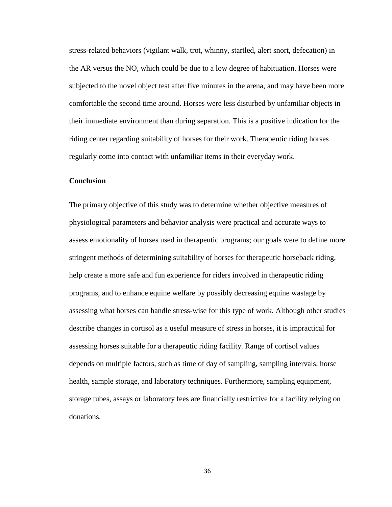stress-related behaviors (vigilant walk, trot, whinny, startled, alert snort, defecation) in the AR versus the NO, which could be due to a low degree of habituation. Horses were subjected to the novel object test after five minutes in the arena, and may have been more comfortable the second time around. Horses were less disturbed by unfamiliar objects in their immediate environment than during separation. This is a positive indication for the riding center regarding suitability of horses for their work. Therapeutic riding horses regularly come into contact with unfamiliar items in their everyday work.

# **Conclusion**

The primary objective of this study was to determine whether objective measures of physiological parameters and behavior analysis were practical and accurate ways to assess emotionality of horses used in therapeutic programs; our goals were to define more stringent methods of determining suitability of horses for therapeutic horseback riding, help create a more safe and fun experience for riders involved in therapeutic riding programs, and to enhance equine welfare by possibly decreasing equine wastage by assessing what horses can handle stress-wise for this type of work. Although other studies describe changes in cortisol as a useful measure of stress in horses, it is impractical for assessing horses suitable for a therapeutic riding facility. Range of cortisol values depends on multiple factors, such as time of day of sampling, sampling intervals, horse health, sample storage, and laboratory techniques. Furthermore, sampling equipment, storage tubes, assays or laboratory fees are financially restrictive for a facility relying on donations.

36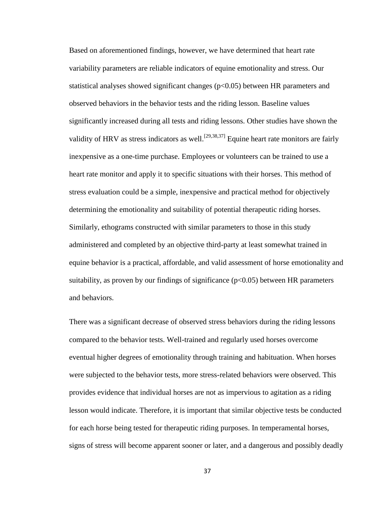Based on aforementioned findings, however, we have determined that heart rate variability parameters are reliable indicators of equine emotionality and stress. Our statistical analyses showed significant changes ( $p<0.05$ ) between HR parameters and observed behaviors in the behavior tests and the riding lesson. Baseline values significantly increased during all tests and riding lessons. Other studies have shown the validity of HRV as stress indicators as well.<sup>[29,38,37]</sup> Equine heart rate monitors are fairly inexpensive as a one-time purchase. Employees or volunteers can be trained to use a heart rate monitor and apply it to specific situations with their horses. This method of stress evaluation could be a simple, inexpensive and practical method for objectively determining the emotionality and suitability of potential therapeutic riding horses. Similarly, ethograms constructed with similar parameters to those in this study administered and completed by an objective third-party at least somewhat trained in equine behavior is a practical, affordable, and valid assessment of horse emotionality and suitability, as proven by our findings of significance  $(p<0.05)$  between HR parameters and behaviors.

There was a significant decrease of observed stress behaviors during the riding lessons compared to the behavior tests. Well-trained and regularly used horses overcome eventual higher degrees of emotionality through training and habituation. When horses were subjected to the behavior tests, more stress-related behaviors were observed. This provides evidence that individual horses are not as impervious to agitation as a riding lesson would indicate. Therefore, it is important that similar objective tests be conducted for each horse being tested for therapeutic riding purposes. In temperamental horses, signs of stress will become apparent sooner or later, and a dangerous and possibly deadly

37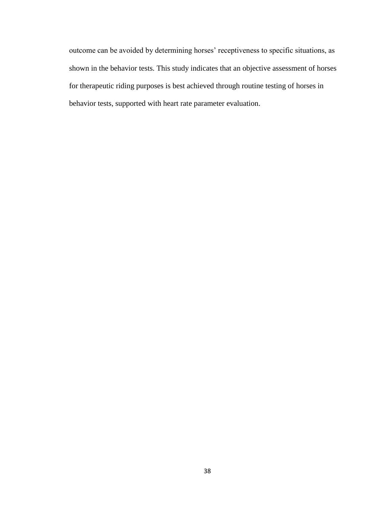outcome can be avoided by determining horses' receptiveness to specific situations, as shown in the behavior tests. This study indicates that an objective assessment of horses for therapeutic riding purposes is best achieved through routine testing of horses in behavior tests, supported with heart rate parameter evaluation.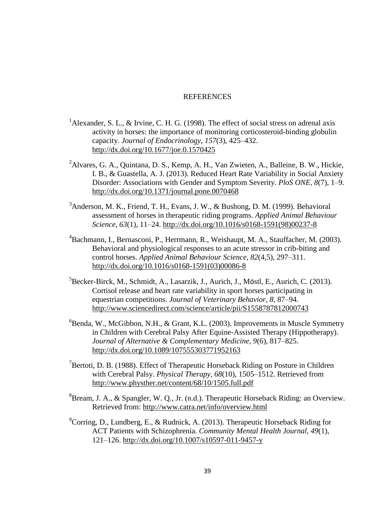## REFERENCES

- <sup>1</sup>Alexander, S. L., & Irvine, C. H. G. (1998). The effect of social stress on adrenal axis activity in horses: the importance of monitoring corticosteroid-binding globulin capacity. *Journal of Endocrinology, 157*(3), 425–432. <http://dx.doi.org/10.1677/joe.0.1570425>
- <sup>2</sup>Alvares, G. A., Quintana, D. S., Kemp, A. H., Van Zwieten, A., Balleine, B. W., Hickie, I. B., & Guastella, A. J. (2013). Reduced Heart Rate Variability in Social Anxiety Disorder: Associations with Gender and Symptom Severity. *PloS ONE, 8*(7), 1–9. <http://dx.doi.org/10.1371/journal.pone.0070468>
- $3A$ nderson, M. K., Friend, T. H., Evans, J. W., & Bushong, D. M. (1999). Behavioral assessment of horses in therapeutic riding programs. *Applied Animal Behaviour Science, 63*(1), 11–24. [http://dx.doi.org/10.1016/s0168-1591\(98\)00237-8](http://dx.doi.org/10.1016/s0168-1591(98)00237-8)
- <sup>4</sup>Bachmann, I., Bernasconi, P., Herrmann, R., Weishaupt, M. A., Stauffacher, M. (2003). Behavioral and physiological responses to an acute stressor in crib-biting and control horses. *Applied Animal Behaviour Science, 82*(4,5), 297–311. [http://dx.doi.org/10.1016/s0168-1591\(03\)00086-8](http://dx.doi.org/10.1016/s0168-1591(03)00086-8)
- ${}^{5}$ Becker-Birck, M., Schmidt, A., Lasarzik, J., Aurich, J., Möstl, E., Aurich, C. (2013). Cortisol release and heart rate variability in sport horses participating in equestrian competitions. *Journal of Veterinary Behavior, 8*, 87–94. <http://www.sciencedirect.com/science/article/pii/S1558787812000743>
- ${}^{6}$ Benda, W., McGibbon, N.H., & Grant, K.L. (2003). Improvements in Muscle Symmetry in Children with Cerebral Palsy After Equine-Assisted Therapy (Hippotherapy). *Journal of Alternative & Complementary Medicine, 9*(6), 817–825. <http://dx.doi.org/10.1089/107555303771952163>
- $\textsuperscript{7}$ Bertoti, D. B. (1988). Effect of Therapeutic Horseback Riding on Posture in Children with Cerebral Palsy. *Physical Therapy, 68*(10), 1505–1512. Retrieved from <http://www.physther.net/content/68/10/1505.full.pdf>
- ${}^{8}$ Bream, J. A., & Spangler, W. Q., Jr. (n.d.). Therapeutic Horseback Riding: an Overview. Retrieved from:<http://www.catra.net/info/overview.html>
- ${}^{9}$ Corring, D., Lundberg, E., & Rudnick, A. (2013). Therapeutic Horseback Riding for ACT Patients with Schizophrenia. *Community Mental Health Journal, 49*(1), 121–126.<http://dx.doi.org/10.1007/s10597-011-9457-y>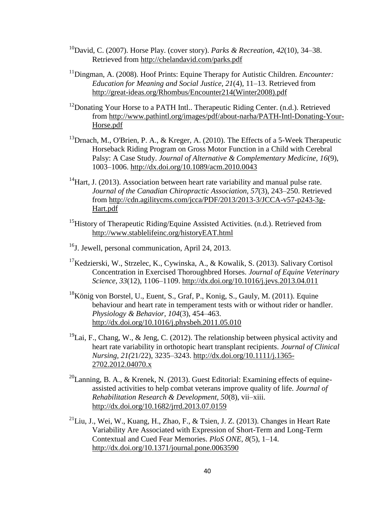- <sup>10</sup>David, C. (2007). Horse Play. (cover story). *Parks & Recreation*, *42*(10), 34–38. Retrieved from<http://chelandavid.com/parks.pdf>
- <sup>11</sup>Dingman, A. (2008). Hoof Prints: Equine Therapy for Autistic Children. *Encounter: Education for Meaning and Social Justice, 21*(4), 11–13. Retrieved from [http://great-ideas.org/Rhombus/Encounter214\(Winter2008\).pdf](http://great-ideas.org/Rhombus/Encounter214(Winter2008).pdf)
- <sup>12</sup> Donating Your Horse to a PATH Intl.. Therapeutic Riding Center. (n.d.). Retrieved from [http://www.pathintl.org/images/pdf/about-narha/PATH-Intl-Donating-Your-](http://www.pathintl.org/images/pdf/about-narha/PATH-Intl-Donating-Your-Horse.pdf)[Horse.pdf](http://www.pathintl.org/images/pdf/about-narha/PATH-Intl-Donating-Your-Horse.pdf)
- <sup>13</sup>Drnach, M., O'Brien, P. A., & Kreger, A. (2010). The Effects of a 5-Week Therapeutic Horseback Riding Program on Gross Motor Function in a Child with Cerebral Palsy: A Case Study. *Journal of Alternative & Complementary Medicine, 16*(9), 1003–1006.<http://dx.doi.org/10.1089/acm.2010.0043>
- $14$ Hart, J. (2013). Association between heart rate variability and manual pulse rate. *Journal of the Canadian Chiropractic Association, 57*(3), 243–250. Retrieved from [http://cdn.agilitycms.com/jcca/PDF/2013/2013-3/JCCA-v57-p243-3g-](http://cdn.agilitycms.com/jcca/PDF/2013/2013-3/JCCA-v57-p243-3g-Hart.pdf)[Hart.pdf](http://cdn.agilitycms.com/jcca/PDF/2013/2013-3/JCCA-v57-p243-3g-Hart.pdf)
- <sup>15</sup>History of Therapeutic Riding/Equine Assisted Activities. (n.d.). Retrieved from <http://www.stablelifeinc.org/historyEAT.html>
- $^{16}$ J. Jewell, personal communication, April 24, 2013.
- <sup>17</sup>Kedzierski, W., Strzelec, K., Cywinska, A., & Kowalik, S. (2013). Salivary Cortisol Concentration in Exercised Thoroughbred Horses. *Journal of Equine Veterinary Science, 33*(12), 1106–1109.<http://dx.doi.org/10.1016/j.jevs.2013.04.011>
- <sup>18</sup>König von Borstel, U., Euent, S., Graf, P., Konig, S., Gauly, M. (2011). Equine behaviour and heart rate in temperament tests with or without rider or handler. *Physiology & Behavior, 104*(3), 454–463. <http://dx.doi.org/10.1016/j.physbeh.2011.05.010>
- <sup>19</sup>Lai, F., Chang, W., & Jeng, C. (2012). The relationship between physical activity and heart rate variability in orthotopic heart transplant recipients. *Journal of Clinical Nursing, 21(*21/22), 3235–3243. [http://dx.doi.org/10.1111/j.1365-](http://dx.doi.org/10.1111/j.1365-2702.2012.04070.x) [2702.2012.04070.x](http://dx.doi.org/10.1111/j.1365-2702.2012.04070.x)
- $^{20}$ Lanning, B. A., & Krenek, N. (2013). Guest Editorial: Examining effects of equineassisted activities to help combat veterans improve quality of life. *Journal of Rehabilitation Research & Development, 50*(8), vii–xiii. <http://dx.doi.org/10.1682/jrrd.2013.07.0159>
- $^{21}$ Liu, J., Wei, W., Kuang, H., Zhao, F., & Tsien, J. Z. (2013). Changes in Heart Rate Variability Are Associated with Expression of Short-Term and Long-Term Contextual and Cued Fear Memories. *PloS ONE, 8*(5), 1–14. <http://dx.doi.org/10.1371/journal.pone.0063590>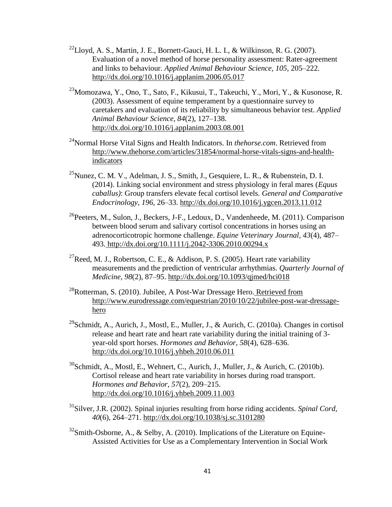- $^{22}$ Lloyd, A. S., Martin, J. E., Bornett-Gauci, H. L. I., & Wilkinson, R. G. (2007). Evaluation of a novel method of horse personality assessment: Rater-agreement and links to behaviour. *Applied Animal Behaviour Science, 105,* 205–222. <http://dx.doi.org/10.1016/j.applanim.2006.05.017>
- $^{23}$ Momozawa, Y., Ono, T., Sato, F., Kikusui, T., Takeuchi, Y., Mori, Y., & Kusonose, R. (2003). Assessment of equine temperament by a questionnaire survey to caretakers and evaluation of its reliability by simultaneous behavior test. *Applied Animal Behaviour Science, 84*(2), 127–138. <http://dx.doi.org/10.1016/j.applanim.2003.08.001>
- <sup>24</sup>Normal Horse Vital Signs and Health Indicators. In *thehorse.com*. Retrieved from [http://www.thehorse.com/articles/31854/normal-horse-vitals-signs-and-health](http://www.thehorse.com/articles/31854/normal-horse-vitals-signs-and-health-indicators)[indicators](http://www.thehorse.com/articles/31854/normal-horse-vitals-signs-and-health-indicators)
- $^{25}$ Nunez, C. M. V., Adelman, J. S., Smith, J., Gesquiere, L. R., & Rubenstein, D. I. (2014). Linking social environment and stress physiology in feral mares (*Equus caballus)*: Group transfers elevate fecal cortisol levels. *General and Comparative Endocrinology, 196,* 26–33.<http://dx.doi.org/10.1016/j.ygcen.2013.11.012>
- $^{26}$ Peeters, M., Sulon, J., Beckers, J-F., Ledoux, D., Vandenheede, M. (2011). Comparison between blood serum and salivary cortisol concentrations in horses using an adrenocorticotropic hormone challenge. *Equine Veterinary Journal, 43*(4), 487– 493. <http://dx.doi.org/10.1111/j.2042-3306.2010.00294.x>
- <sup>27</sup>Reed, M. J., Robertson, C. E., & Addison, P. S. (2005). Heart rate variability measurements and the prediction of ventricular arrhythmias. *Quarterly Journal of Medicine, 98*(2), 87–95.<http://dx.doi.org/10.1093/qjmed/hci018>
- <sup>28</sup>Rotterman, S. (2010). Jubilee, A Post-War Dressage Hero. Retrieved from [http://www.eurodressage.com/equestrian/2010/10/22/jubilee-post-war-dressage](http://www.eurodressage.com/equestrian/2010/10/22/jubilee-post-war-dressage-hero)[hero](http://www.eurodressage.com/equestrian/2010/10/22/jubilee-post-war-dressage-hero)
- <sup>29</sup>Schmidt, A., Aurich, J., Mostl, E., Muller, J., & Aurich, C. (2010a). Changes in cortisol release and heart rate and heart rate variability during the initial training of 3 year-old sport horses. *Hormones and Behavior, 58*(4), 628–636. <http://dx.doi.org/10.1016/j.yhbeh.2010.06.011>
- $30$ Schmidt, A., Mostl, E., Wehnert, C., Aurich, J., Muller, J., & Aurich, C. (2010b). Cortisol release and heart rate variability in horses during road transport. *Hormones and Behavior, 57*(2), 209–215. <http://dx.doi.org/10.1016/j.yhbeh.2009.11.003>
- <sup>31</sup>Silver, J.R. (2002). Spinal injuries resulting from horse riding accidents. *Spinal Cord, 40*(6), 264–271.<http://dx.doi.org/10.1038/sj.sc.3101280>
- $32$ Smith-Osborne, A., & Selby, A. (2010). Implications of the Literature on Equine-Assisted Activities for Use as a Complementary Intervention in Social Work